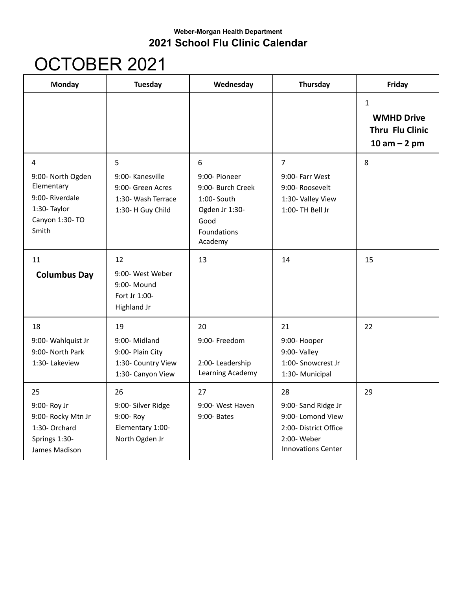## **Weber-Morgan Health Department 2021 School Flu Clinic Calendar**

## OCTOBER 2021

| <b>Monday</b>                                                                                      | <b>Tuesday</b>                                                                        | Wednesday                                                                                                  | Thursday                                                                                                           | Friday                                                                          |
|----------------------------------------------------------------------------------------------------|---------------------------------------------------------------------------------------|------------------------------------------------------------------------------------------------------------|--------------------------------------------------------------------------------------------------------------------|---------------------------------------------------------------------------------|
|                                                                                                    |                                                                                       |                                                                                                            |                                                                                                                    | $\mathbf{1}$<br><b>WMHD Drive</b><br><b>Thru Flu Clinic</b><br>$10$ am $-$ 2 pm |
| 4<br>9:00- North Ogden<br>Elementary<br>9:00-Riverdale<br>1:30- Taylor<br>Canyon 1:30- TO<br>Smith | 5<br>9:00- Kanesville<br>9:00- Green Acres<br>1:30- Wash Terrace<br>1:30- H Guy Child | 6<br>9:00- Pioneer<br>9:00- Burch Creek<br>1:00- South<br>Ogden Jr 1:30-<br>Good<br>Foundations<br>Academy | $\overline{7}$<br>9:00- Farr West<br>9:00- Roosevelt<br>1:30- Valley View<br>1:00- TH Bell Jr                      | 8                                                                               |
| 11<br><b>Columbus Day</b>                                                                          | 12<br>9:00- West Weber<br>9:00- Mound<br>Fort Jr 1:00-<br><b>Highland Jr</b>          | 13                                                                                                         | 14                                                                                                                 | 15                                                                              |
| 18<br>9:00- Wahlquist Jr<br>9:00- North Park<br>1:30-Lakeview                                      | 19<br>9:00-Midland<br>9:00- Plain City<br>1:30- Country View<br>1:30- Canyon View     | 20<br>9:00- Freedom<br>2:00-Leadership<br>Learning Academy                                                 | 21<br>9:00- Hooper<br>9:00- Valley<br>1:00- Snowcrest Jr<br>1:30- Municipal                                        | 22                                                                              |
| 25<br>9:00- Roy Jr<br>9:00- Rocky Mtn Jr<br>1:30- Orchard<br>Springs 1:30-<br>James Madison        | 26<br>9:00- Silver Ridge<br>9:00- Roy<br>Elementary 1:00-<br>North Ogden Jr           | 27<br>9:00- West Haven<br>9:00- Bates                                                                      | 28<br>9:00- Sand Ridge Jr<br>9:00- Lomond View<br>2:00- District Office<br>2:00-Weber<br><b>Innovations Center</b> | 29                                                                              |